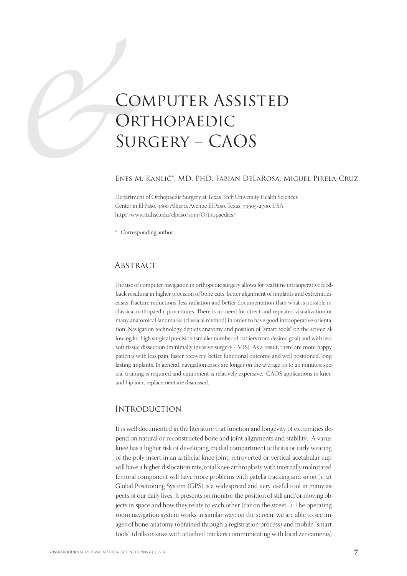# CO.<br>OR<br>SUF<br>ENES M.<br>Department Computer Assisted ORTHOPAEDIC Surgery – CAOS

#### Enes M. Kanlić\*, MD, PhD, Fabian DeLaRosa, Miguel Pirela-Cruz

Department of Orthopaedic Surgery at Texas Tech University Health Sciences Center in El Paso, 4800 Alberta Avenue El Paso, Texas, 79905-2700, USA http://www.ttuhsc.edu/elpaso/som/Orthopaedics/

\* Corresponding author

### **ABSTRACT**

The use of computer navigation in orthopedic surgery allows for real time intraoperative feedback resulting in higher precision of bone cuts, better alignment of implants and extremities, easier fracture reductions, less radiation and better documentation than what is possible in classical orthopaedic procedures. There is no need for direct and repeated visualization of many anatomical landmarks (classical method) in order to have good intraoperative orientation. Navigation technology depicts anatomy and position of "smart tools" on the screen allowing for high surgical precision (smaller number of outliers from desired goal) and with less soft tissue dissection (minimally invasive surgery - MIS). As a result, there are more happy patients with less pain, faster recovery, better functional outcome and well positioned, long lasting implants. In general, navigation cases are longer on the average 10 to 20 minutes, special training is required and equipment is relatively expensive. CAOS applications in knee and hip joint replacement are discussed.

#### **INTRODUCTION**

It is well documented in the literature that function and longevity of extremities depend on natural or reconstructed bone and joint alignments and stability. A varus knee has a higher risk of developing medial compartment arthritis or early wearing of the poly insert in an artificial knee joint; retroverted or vertical acetabular cup will have a higher dislocation rate; total knee arthroplasty with internally malrotated femoral component will have more problems with patella tracking and so on  $(1, 2)$ . Global Positioning System (GPS) is a widespread and very useful tool in many aspects of our daily lives. It presents on monitor the position of still and/or moving objects in space and how they relate to each other (car on the street...). The operating room navigation system works in similar way: on the screen, we are able to see images of bone-anatomy (obtained through a registration process) and mobile "smart tools" (drills or saws with attached trackers communicating with localizer cameras)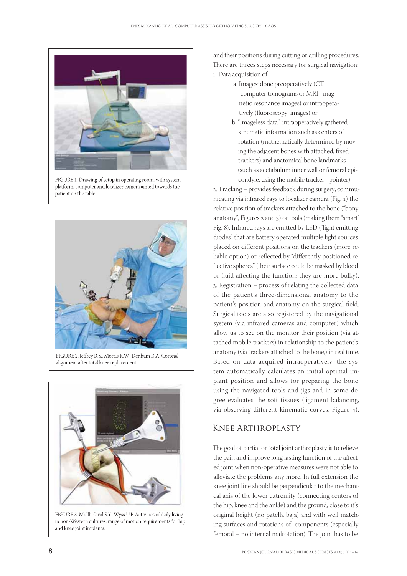

FIGURE 1. Drawing of setup in operating room, with system platform, computer and localizer camera aimed towards the patient on the table.



alignment after total knee replacement.



FIGURE 3. Mullholand S.Y., Wyss U.P. Activities of daily living in non-Western cultures: range of motion requirements for hip and knee joint implants.

and their positions during cutting or drilling procedures. There are threes steps necessary for surgical navigation: . Data acquisition of:

a. Images: done preoperatively (CT

- computer tomograms or MRI magnetic resonance images) or intraoperatively (fluoroscopy images) or
- b. "Imageless data": intraoperatively gathered kinematic information such as centers of rotation (mathematically determined by moving the adjacent bones with attached, fixed trackers) and anatomical bone landmarks (such as acetabulum inner wall or femoral epicondyle, using the mobile tracker - pointer).

. Tracking – provides feedback during surgery, communicating via infrared rays to localizer camera (Fig.  $_1$ ) the relative position of trackers attached to the bone ("bony anatomy", Figures  $2$  and  $3$ ) or tools (making them "smart" Fig. 8). Infrared rays are emitted by LED ("light emitting diodes" that are battery operated multiple light sources placed on different positions on the trackers (more reliable option) or reflected by "differently positioned reflective spheres" (their surface could be masked by blood or fluid affecting the function; they are more bulky). . Registration – process of relating the collected data of the patient's three-dimensional anatomy to the patient's position and anatomy on the surgical field. Surgical tools are also registered by the navigational system (via infrared cameras and computer) which allow us to see on the monitor their position (via attached mobile trackers) in relationship to the patient's anatomy (via trackers attached to the bone,) in real time. Based on data acquired intraoperatively, the system automatically calculates an initial optimal implant position and allows for preparing the bone using the navigated tools and jigs and in some degree evaluates the soft tissues (ligament balancing, via observing different kinematic curves, Figure 4).

# Knee Arthroplasty

The goal of partial or total joint arthroplasty is to relieve the pain and improve long lasting function of the affected joint when non-operative measures were not able to alleviate the problems any more. In full extension the knee joint line should be perpendicular to the mechanical axis of the lower extremity (connecting centers of the hip, knee and the ankle) and the ground, close to it's original height (no patella baja) and with well matching surfaces and rotations of components (especially femoral – no internal malrotation). The joint has to be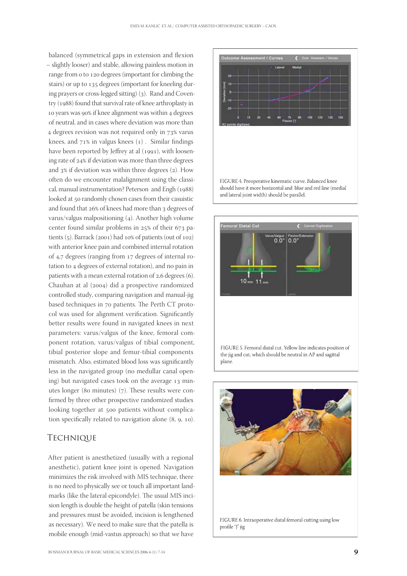balanced (symmetrical gaps in extension and flexion – slightly looser) and stable, allowing painless motion in range from 0 to 120 degrees (important for climbing the stairs) or up to 135 degrees (important for kneeling during prayers or cross-legged sitting) (3). Rand and Coventry (1988) found that survival rate of knee arthroplasty in 10 years was 90% if knee alignment was within 4 degrees of neutral, and in cases where deviation was more than 4 degrees revision was not required only in 73% varus knees, and  $71\%$  in valgus knees (1). Similar findings have been reported by Jeffrey at al  $(1991)$ , with loosening rate of 24% if deviation was more than three degrees and  $3\%$  if deviation was within three degrees (2). How often do we encounter malalignment using the classical, manual instrumentation? Peterson and Engh (1988) looked at 50 randomly chosen cases from their casuistic and found that 26% of knees had more than 3 degrees of varus/valgus malpositioning  $(4)$ . Another high volume center found similar problems in  $25\%$  of their  $673$  patients  $(5)$ . Barrack  $(2001)$  had 10% of patients (out of 102) with anterior knee pain and combined internal rotation of  $4,7$  degrees (ranging from  $17$  degrees of internal rotation to 4 degrees of external rotation), and no pain in patients with a mean external rotation of  $2,6$  degrees  $(6)$ . Chauhan at al (2004) did a prospective randomized controlled study, comparing navigation and manual-jig based techniques in 70 patients. The Perth CT protocol was used for alignment verification. Significantly better results were found in navigated knees in next parameters: varus/valgus of the knee, femoral component rotation, varus/valgus of tibial component, tibial posterior slope and femur-tibial components mismatch. Also, estimated blood loss was significantly less in the navigated group (no medullar canal opening) but navigated cases took on the average  $13$  minutes longer (80 minutes)  $(7)$ . These results were confirmed by three other prospective randomized studies looking together at 500 patients without complication specifically related to navigation alone  $(8, 9, 10)$ .

# **TECHNIQUE**

After patient is anesthetized (usually with a regional anesthetic), patient knee joint is opened. Navigation minimizes the risk involved with MIS technique, there is no need to physically see or touch all important landmarks (like the lateral epicondyle). The usual MIS incision length is double the height of patella (skin tensions and pressures must be avoided, incision is lengthened as necessary). We need to make sure that the patella is mobile enough (mid-vastus approach) so that we have





FIGURE 5. Femoral distal cut. Yellow line indicates position of the jig and cut, which should be neutral in AP and sagittal plane

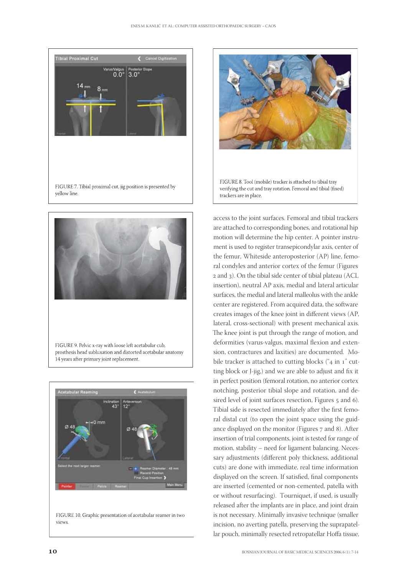









access to the joint surfaces. Femoral and tibial trackers are attached to corresponding bones, and rotational hip motion will determine the hip center. A pointer instrument is used to register transepicondylar axis, center of the femur, Whiteside anteroposterior (AP) line, femoral condyles and anterior cortex of the femur (Figures and ). On the tibial side center of tibial plateau (ACL insertion), neutral AP axis, medial and lateral articular surfaces, the medial and lateral malleolus with the ankle center are registered. From acquired data, the software creates images of the knee joint in different views (AP, lateral, cross-sectional) with present mechanical axis. The knee joint is put through the range of motion, and deformities (varus-valgus, maximal flexion and extension, contractures and laxities) are documented. Mobile tracker is attached to cutting blocks (" $4$  in  $1$ " cutting block or J-jig,) and we are able to adjust and fix it in perfect position (femoral rotation, no anterior cortex notching, posterior tibial slope and rotation, and desired level of joint surfaces resection, Figures 5 and 6). Tibial side is resected immediately after the first femoral distal cut (to open the joint space using the guidance displayed on the monitor (Figures 7 and 8). After insertion of trial components, joint is tested for range of motion, stability – need for ligament balancing. Necessary adjustments (different poly thickness, additional cuts) are done with immediate, real time information displayed on the screen. If satisfied, final components are inserted (cemented or non-cemented, patella with or without resurfacing). Tourniquet, if used, is usually released after the implants are in place, and joint drain is not necessary. Minimally invasive technique (smaller incision, no averting patella, preserving the suprapatellar pouch, minimally resected retropatellar Hoffa tissue,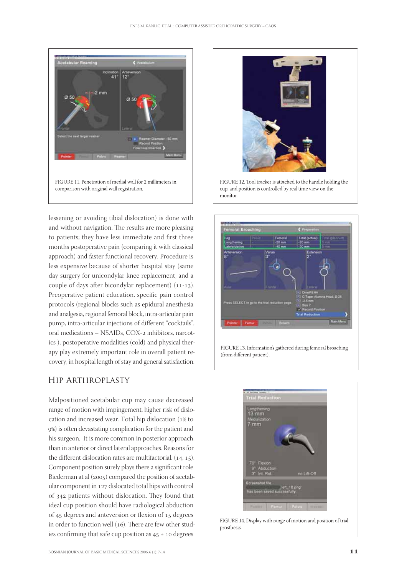

lessening or avoiding tibial dislocation) is done with and without navigation. The results are more pleasing to patients; they have less immediate and first three months postoperative pain (comparing it with classical approach) and faster functional recovery. Procedure is less expensive because of shorter hospital stay (same day surgery for unicondylar knee replacement, and a couple of days after bicondylar replacement)  $(11-13)$ . Preoperative patient education, specific pain control protocols (regional blocks such as epidural anesthesia and analgesia, regional femoral block, intra-articular pain pump, intra-articular injections of different "cocktails", oral medications - NSAIDs, COX-2 inhibitors, narcotics ), postoperative modalities (cold) and physical therapy play extremely important role in overall patient recovery, in hospital length of stay and general satisfaction.

# Hip Arthroplasty

Malpositioned acetabular cup may cause decreased range of motion with impingement, higher risk of dislocation and increased wear. Total hip dislocation (1% to ) is often devastating complication for the patient and his surgeon. It is more common in posterior approach, than in anterior or direct lateral approaches. Reasons for the different dislocation rates are multifactorial.  $(14, 15)$ . Component position surely plays there a significant role. Biederman at al (2005) compared the position of acetabular component in 127 dislocated total hips with control of 342 patients without dislocation. They found that ideal cup position should have radiological abduction of 45 degrees and anteversion or flexion of 15 degrees in order to function well  $(16)$ . There are few other studies confirming that safe cup position as  $45 \pm 10$  degrees



FIGURE 12. Tool tracker is attached to the handle holding the cup, and position is controlled by real time view on the monitor





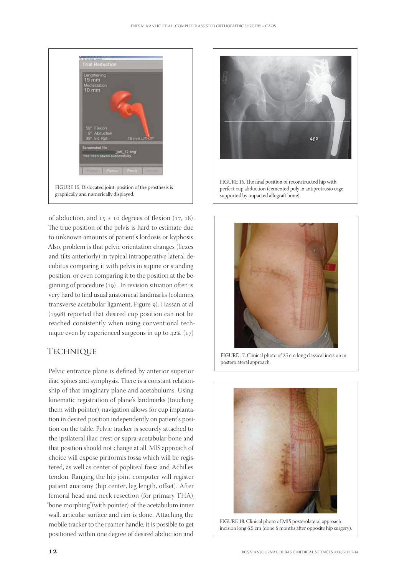

of abduction, and  $15 \pm 10$  degrees of flexion (17, 18). The true position of the pelvis is hard to estimate due to unknown amounts of patient's lordosis or kyphosis. Also, problem is that pelvic orientation changes (flexes and tilts anteriorly) in typical intraoperative lateral decubitus comparing it with pelvis in supine or standing position, or even comparing it to the position at the beginning of procedure  $(19)$ . In revision situation often is very hard to find usual anatomical landmarks (columns, transverse acetabular ligament, Figure 9). Hassan at al  $(1998)$  reported that desired cup position can not be reached consistently when using conventional technique even by experienced surgeons in up to  $42\%$ .  $(17)$ 

# **TECHNIQUE**

Pelvic entrance plane is defined by anterior superior iliac spines and symphysis. There is a constant relationship of that imaginary plane and acetabulums. Using kinematic registration of plane's landmarks (touching them with pointer), navigation allows for cup implantation in desired position independently on patient's position on the table. Pelvic tracker is securely attached to the ipsilateral iliac crest or supra-acetabular bone and that position should not change at all. MIS approach of choice will expose piriformis fossa which will be registered, as well as center of popliteal fossa and Achilles tendon. Ranging the hip joint computer will register patient anatomy (hip center, leg length, offset). After femoral head and neck resection (for primary THA), "bone morphing"(with pointer) of the acetabulum inner wall, articular surface and rim is done. Attaching the mobile tracker to the reamer handle, it is possible to get positioned within one degree of desired abduction and





FIGURE 17. Clinical photo of 25 cm long classical incision in posterolateral approach.



FIGURE 18. Clinical photo of MIS posterolateral approach incision long 6.5 cm (done 6 months after opposite hip surgery).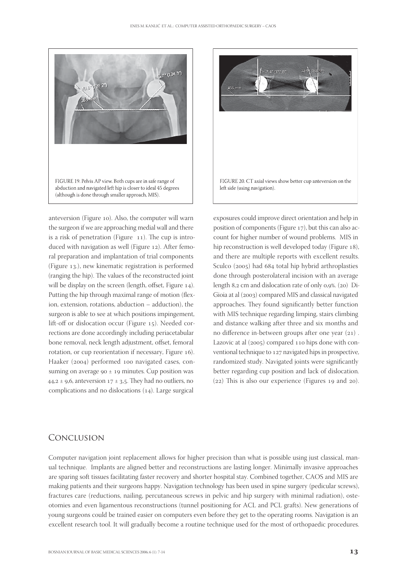

anteversion (Figure 10). Also, the computer will warn the surgeon if we are approaching medial wall and there is a risk of penetration (Figure  $11$ ). The cup is introduced with navigation as well (Figure  $12$ ). After femoral preparation and implantation of trial components (Figure 13.), new kinematic registration is performed (ranging the hip). The values of the reconstructed joint will be display on the screen (length, offset, Figure  $14$ ). Putting the hip through maximal range of motion (flexion, extension, rotations, abduction – adduction), the surgeon is able to see at which positions impingement, lift-off or dislocation occur (Figure 15). Needed corrections are done accordingly including periacetabular bone removal, neck length adjustment, offset, femoral rotation, or cup reorientation if necessary, Figure 16). Haaker (2004) performed 100 navigated cases, consuming on average  $90 \pm 19$  minutes. Cup position was  $44,2 \pm 9,6$ , anteversion  $17 \pm 3,5$ . They had no outliers, no complications and no dislocations  $(14)$ . Large surgical



exposures could improve direct orientation and help in position of components (Figure  $17$ ), but this can also account for higher number of wound problems. MIS in hip reconstruction is well developed today (Figure 18), and there are multiple reports with excellent results. Sculco  $(2005)$  had  $684$  total hip hybrid arthroplasties done through posterolateral incision with an average length  $8,2$  cm and dislocation rate of only  $0.9\%$ . (20) Di-Gioia at al (2003) compared MIS and classical navigated approaches. They found significantly better function with MIS technique regarding limping, stairs climbing and distance walking after three and six months and no difference in-between groups after one year  $(21)$ . Lazovic at al  $(2005)$  compared  $110$  hips done with conventional technique to 127 navigated hips in prospective, randomized study. Navigated joints were significantly better regarding cup position and lack of dislocation.  $(22)$  This is also our experience (Figures 19 and 20).

# Conclusion

Computer navigation joint replacement allows for higher precision than what is possible using just classical, manual technique. Implants are aligned better and reconstructions are lasting longer. Minimally invasive approaches are sparing soft tissues facilitating faster recovery and shorter hospital stay. Combined together, CAOS and MIS are making patients and their surgeons happy. Navigation technology has been used in spine surgery (pedicular screws), fractures care (reductions, nailing, percutaneous screws in pelvic and hip surgery with minimal radiation), osteotomies and even ligamentous reconstructions (tunnel positioning for ACL and PCL grafts). New generations of young surgeons could be trained easier on computers even before they get to the operating rooms. Navigation is an excellent research tool. It will gradually become a routine technique used for the most of orthopaedic procedures.